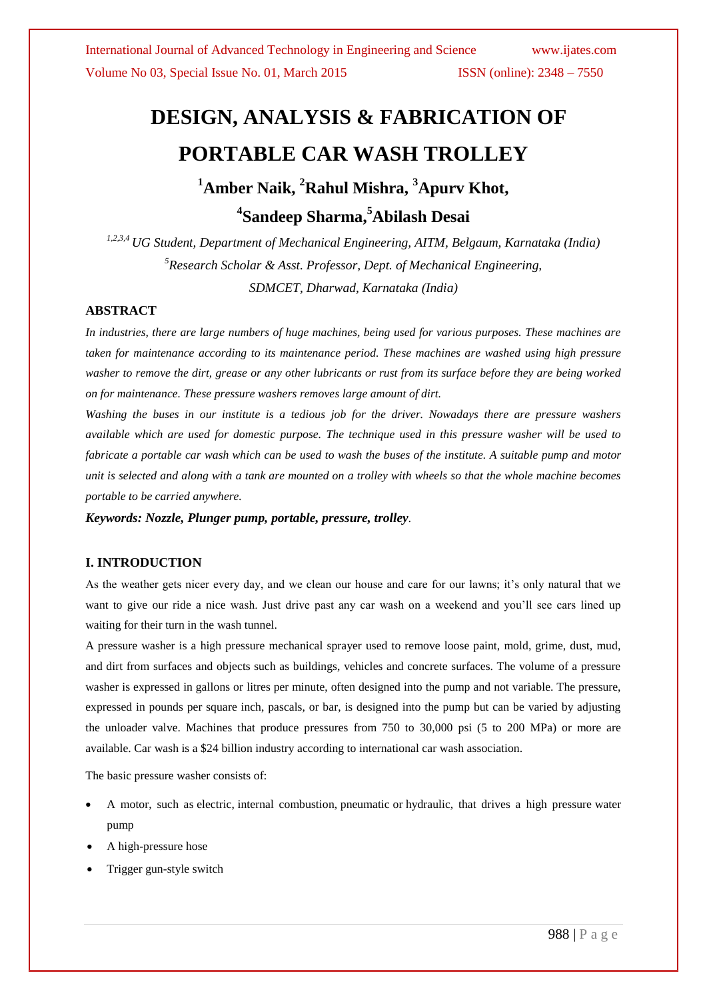## **DESIGN, ANALYSIS & FABRICATION OF PORTABLE CAR WASH TROLLEY <sup>1</sup>Amber Naik, <sup>2</sup>Rahul Mishra, <sup>3</sup>Apurv Khot,**

# **4 Sandeep Sharma, <sup>5</sup>Abilash Desai**

*1,2,3,4 UG Student, Department of Mechanical Engineering, AITM, Belgaum, Karnataka (India) <sup>5</sup>Research Scholar & Asst. Professor, Dept. of Mechanical Engineering, SDMCET, Dharwad, Karnataka (India)*

#### **ABSTRACT**

*In industries, there are large numbers of huge machines, being used for various purposes. These machines are taken for maintenance according to its maintenance period. These machines are washed using high pressure washer to remove the dirt, grease or any other lubricants or rust from its surface before they are being worked on for maintenance. These pressure washers removes large amount of dirt.*

*Washing the buses in our institute is a tedious job for the driver. Nowadays there are pressure washers available which are used for domestic purpose. The technique used in this pressure washer will be used to fabricate a portable car wash which can be used to wash the buses of the institute. A suitable pump and motor unit is selected and along with a tank are mounted on a trolley with wheels so that the whole machine becomes portable to be carried anywhere.*

*Keywords: Nozzle, Plunger pump, portable, pressure, trolley.*

#### **I. INTRODUCTION**

As the weather gets nicer every day, and we clean our house and care for our lawns; it's only natural that we want to give our ride a nice wash. Just drive past any car wash on a weekend and you'll see cars lined up waiting for their turn in the wash tunnel.

A pressure washer is a high pressure mechanical sprayer used to remove loose paint, mold, grime, dust, mud, and dirt from surfaces and objects such as buildings, vehicles and concrete surfaces. The volume of a pressure washer is expressed in gallons or litres per minute, often designed into the pump and not variable. The pressure, expressed in pounds per square inch, pascals, or bar, is designed into the pump but can be varied by adjusting the unloader valve. Machines that produce pressures from 750 to 30,000 psi (5 to 200 MPa) or more are available. Car wash is a \$24 billion industry according to international car wash association.

The basic pressure washer consists of:

- A motor, such as [electric,](http://en.wikipedia.org/wiki/Electric_motor) [internal combustion,](http://en.wikipedia.org/wiki/Internal_combustion_engine) [pneumatic](http://en.wikipedia.org/wiki/Pneumatic_motor) or [hydraulic,](http://en.wikipedia.org/wiki/Hydraulic_motor) that drives a high pressure [water](http://en.wikipedia.org/wiki/Water_pump)  [pump](http://en.wikipedia.org/wiki/Water_pump)
- A high-pressure [hose](http://en.wikipedia.org/wiki/Hose)
- [Trigger gun-](http://en.wikipedia.org/wiki/Trigger_(firearms))style [switch](http://en.wikipedia.org/wiki/Switch)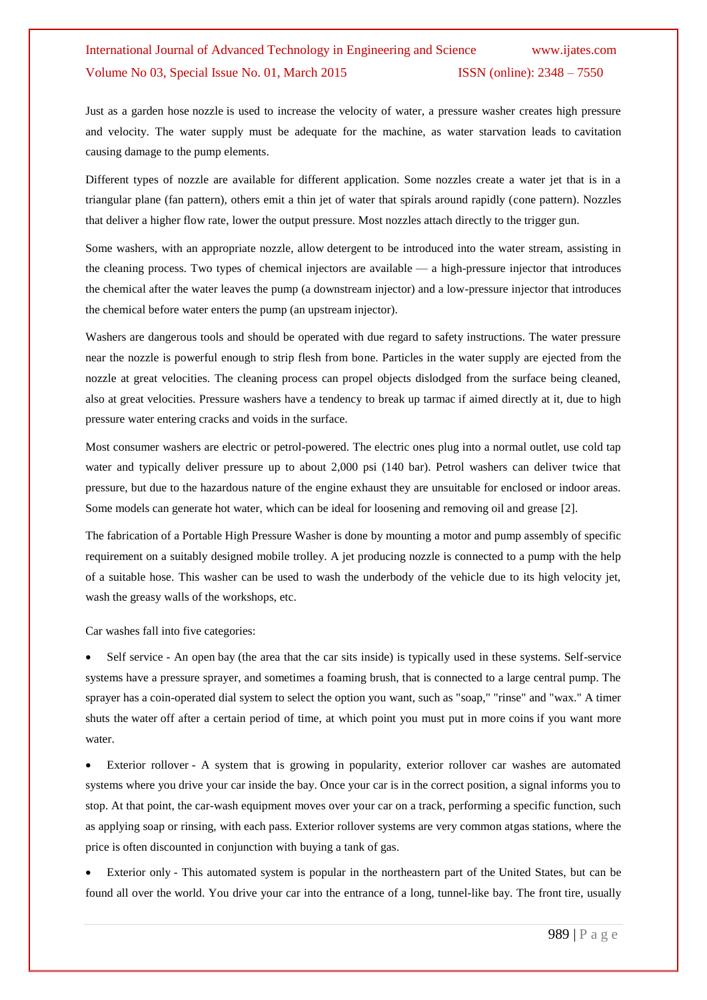Just as a garden hose [nozzle](http://en.wikipedia.org/wiki/Nozzle) is used to increase the velocity of water, a pressure washer creates high pressure and velocity. The water supply must be adequate for the machine, as water starvation leads to [cavitation](http://en.wikipedia.org/wiki/Cavitation) causing damage to the pump elements.

Different types of nozzle are available for different application. Some nozzles create a water jet that is in a triangular plane (fan pattern), others emit a thin jet of water that spirals around rapidly (cone pattern). Nozzles that deliver a higher flow rate, lower the output pressure. Most nozzles attach directly to the trigger gun.

Some washers, with an appropriate nozzle, allow [detergent](http://en.wikipedia.org/wiki/Detergent) to be introduced into the water stream, assisting in the cleaning process. Two types of chemical injectors are available — a high-pressure injector that introduces the chemical after the water leaves the pump (a downstream injector) and a low-pressure injector that introduces the chemical before water enters the pump (an upstream injector).

Washers are dangerous tools and should be operated with due regard to safety instructions. The water pressure near the nozzle is powerful enough to strip flesh from bone. Particles in the water supply are ejected from the nozzle at great velocities. The cleaning process can propel objects dislodged from the surface being cleaned, also at great velocities. Pressure washers have a tendency to break up [tarmac](http://en.wikipedia.org/wiki/Tarmac) if aimed directly at it, due to high pressure water entering cracks and voids in the surface.

Most consumer washers are electric or petrol-powered. The electric ones plug into a normal outlet, use cold tap water and typically deliver pressure up to about 2,000 psi (140 bar). Petrol washers can deliver twice that pressure, but due to the hazardous nature of the engine exhaust they are unsuitable for enclosed or indoor areas. Some models can generate hot water, which can be ideal for loosening and removing oil and grease [2].

The fabrication of a Portable High Pressure Washer is done by mounting a motor and pump assembly of specific requirement on a suitably designed mobile trolley. A jet producing nozzle is connected to a pump with the help of a suitable hose. This washer can be used to wash the underbody of the vehicle due to its high velocity jet, wash the greasy walls of the workshops, etc.

Car washes fall into five categories:

 Self service - An open bay (the area that the car sits inside) is typically used in these systems. Self-service systems have a pressure sprayer, and sometimes a foaming brush, that is connected to a large central pump. The sprayer has a coin-operated dial system to select the option you want, such as ["soap,](http://health.howstuffworks.com/skin-care/cleansing/myths/question692.htm)" "rinse" and "wax." A timer shuts the [water](http://science.howstuffworks.com/environmental/earth/geophysics/question157.htm) off after a certain period of time, at which point you must put in more [coins](http://money.howstuffworks.com/currency4.htm) if you want more water.

 Exterior rollover - A system that is growing in popularity, exterior rollover car washes are automated systems where you drive your car inside the bay. Once your car is in the correct position, a signal informs you to stop. At that point, the car-wash equipment moves over your car on a track, performing a specific function, such as applying soap or rinsing, with each pass. Exterior rollover systems are very common a[tgas](http://science.howstuffworks.com/gasoline.htm) stations, where the price is often discounted in conjunction with buying a [tank of gas.](http://auto.howstuffworks.com/gas-price.htm)

 Exterior only - This automated system is popular in the northeastern part of the [United States,](../../../sony/Desktop/info/399696:0) but can be found all over the [world.](../../../sony/Desktop/info/399711:0) You drive your car into the entrance of a long, [tunnel-](http://science.howstuffworks.com/engineering/structural/tunnel.htm)like bay. The front [tire,](http://auto.howstuffworks.com/tire.htm) usually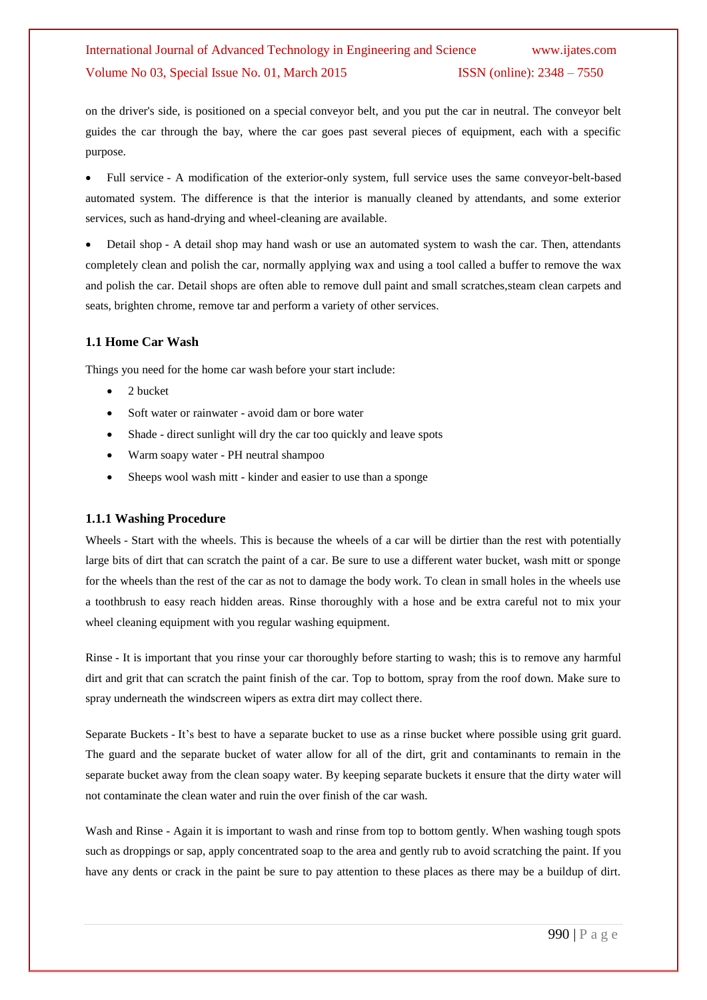on the driver's side, is positioned on a special conveyor belt, and you put the car in neutral. The conveyor belt guides the car through the bay, where the car goes past several pieces of equipment, each with a specific purpose.

 Full service - A modification of the exterior-only system, full service uses the same conveyor-belt-based automated system. The difference is that the interior is manually cleaned by attendants, and some exterior services, such as hand-drying and wheel-cleaning are available.

Detail shop - A detail shop may hand wash or use an automated system to wash the car. Then, attendants completely clean and polish the car, normally applying wax and using a tool called a buffer to remove the wax and polish the car. Detail shops are often able to remove dull [paint](http://home.howstuffworks.com/home-improvement/home-diy/painting/exterior-paints.htm) and small scratche[s,steam clean](http://products.howstuffworks.com/steam-cleaner-heavyweight-reviews.htm) carpets and seats, brighten chrome, remove tar and perform a variety of other services.

#### **1.1 Home Car Wash**

Things you need for the home car wash before your start include:

- 2 bucket
- Soft water or rainwater avoid dam or bore water
- Shade direct sunlight will dry the car too quickly and leave spots
- Warm soapy water PH neutral shampoo
- Sheeps wool wash mitt kinder and easier to use than a sponge

#### **1.1.1 Washing Procedure**

Wheels - Start with the wheels. This is because the wheels of a car will be dirtier than the rest with potentially large bits of dirt that can scratch the paint of a car. Be sure to use a different water bucket, wash mitt or sponge for the wheels than the rest of the car as not to damage the body work. To clean in small holes in the wheels use a toothbrush to easy reach hidden areas. Rinse thoroughly with a hose and be extra careful not to mix your wheel cleaning equipment with you regular washing equipment.

Rinse - It is important that you rinse your car thoroughly before starting to wash; this is to remove any harmful dirt and grit that can scratch the paint finish of the car. Top to bottom, spray from the roof down. Make sure to spray underneath the windscreen wipers as extra dirt may collect there.

Separate Buckets - It's best to have a separate bucket to use as a rinse bucket where possible using grit guard. The guard and the separate bucket of water allow for all of the dirt, grit and contaminants to remain in the separate bucket away from the clean soapy water. By keeping separate buckets it ensure that the dirty water will not contaminate the clean water and ruin the over finish of the car wash.

Wash and Rinse - Again it is important to wash and rinse from top to bottom gently. When washing tough spots such as droppings or sap, apply concentrated soap to the area and gently rub to avoid scratching the paint. If you have any dents or crack in the paint be sure to pay attention to these places as there may be a buildup of dirt.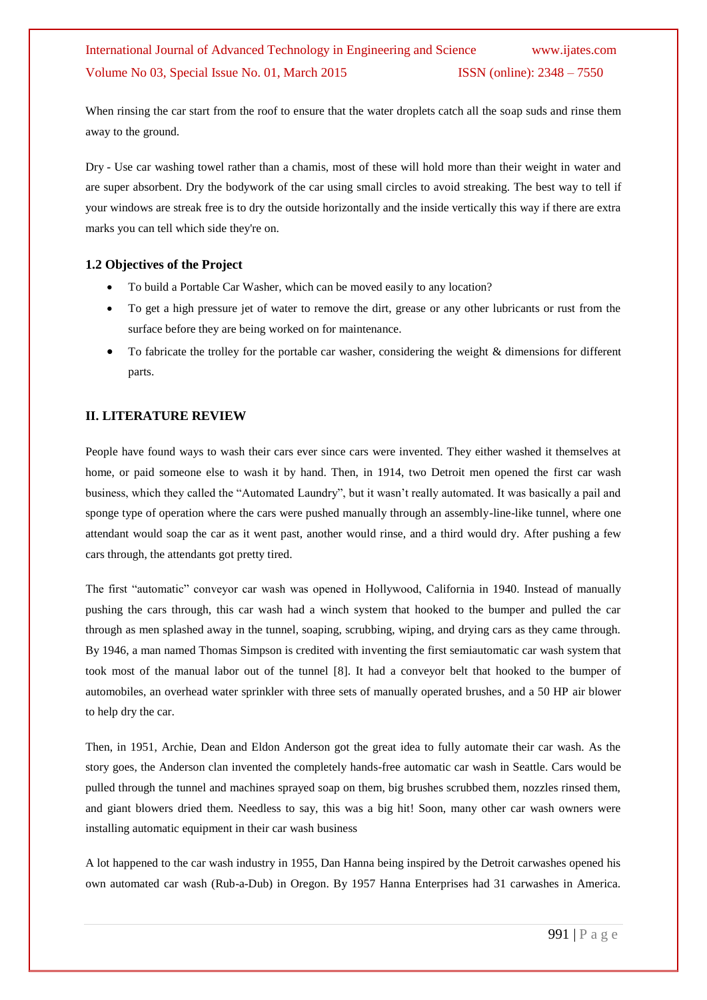When rinsing the car start from the roof to ensure that the water droplets catch all the soap suds and rinse them away to the ground.

Dry - Use car washing towel rather than a chamis, most of these will hold more than their weight in water and are super absorbent. Dry the bodywork of the car using small circles to avoid streaking. The best way to tell if your windows are streak free is to dry the outside horizontally and the inside vertically this way if there are extra marks you can tell which side they're on.

#### **1.2 Objectives of the Project**

- To build a Portable Car Washer, which can be moved easily to any location?
- To get a high pressure jet of water to remove the dirt, grease or any other lubricants or rust from the surface before they are being worked on for maintenance.
- To fabricate the trolley for the portable car washer, considering the weight & dimensions for different parts.

#### **II. LITERATURE REVIEW**

People have found ways to wash their cars ever since cars were invented. They either washed it themselves at home, or paid someone else to wash it by hand. Then, in 1914, two Detroit men opened the first car wash business, which they called the "Automated Laundry", but it wasn't really automated. It was basically a pail and sponge type of operation where the cars were pushed manually through an assembly-line-like tunnel, where one attendant would soap the car as it went past, another would rinse, and a third would dry. After pushing a few cars through, the attendants got pretty tired.

The first "automatic" conveyor car wash was opened in Hollywood, California in 1940. Instead of manually pushing the cars through, this car wash had a winch system that hooked to the bumper and pulled the car through as men splashed away in the tunnel, soaping, scrubbing, wiping, and drying cars as they came through. By 1946, a man named Thomas Simpson is credited with inventing the first semiautomatic car wash system that took most of the manual labor out of the tunnel [8]. It had a conveyor belt that hooked to the bumper of automobiles, an overhead water sprinkler with three sets of manually operated brushes, and a 50 HP air blower to help dry the car.

Then, in 1951, Archie, Dean and Eldon Anderson got the great idea to fully automate their car wash. As the story goes, the Anderson clan invented the completely hands-free automatic car wash in Seattle. Cars would be pulled through the tunnel and machines sprayed soap on them, big brushes scrubbed them, nozzles rinsed them, and giant blowers dried them. Needless to say, this was a big hit! Soon, many other car wash owners were installing automatic equipment in their car wash business

A lot happened to the car wash industry in 1955, Dan Hanna being inspired by the Detroit carwashes opened his own automated car wash (Rub-a-Dub) in Oregon. By 1957 Hanna Enterprises had 31 carwashes in America.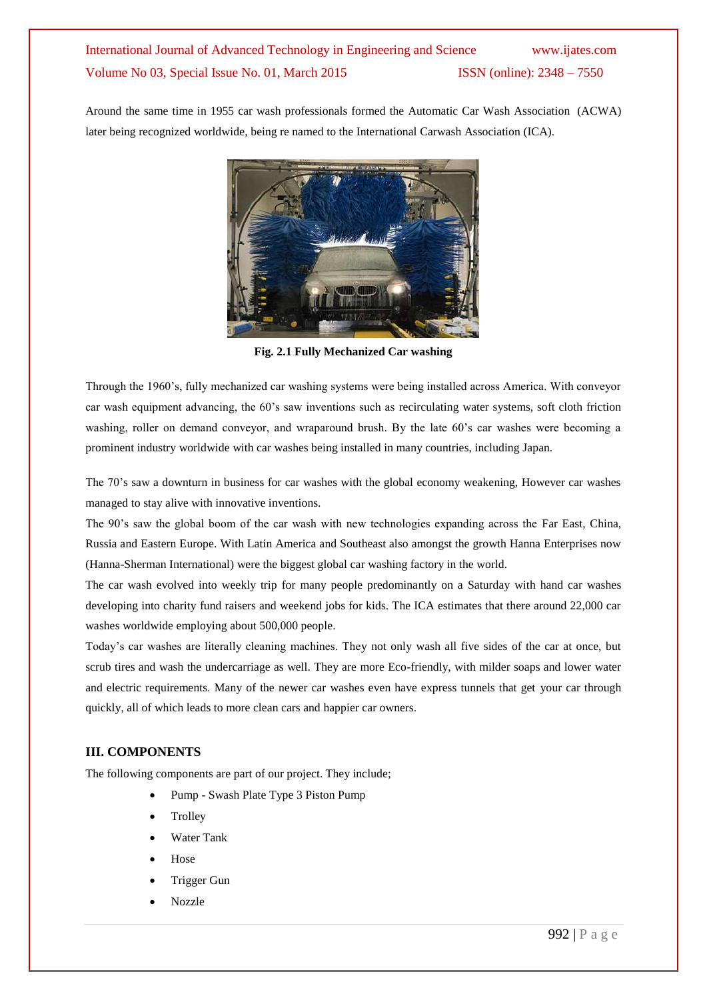Around the same time in 1955 car wash professionals formed the Automatic Car Wash Association (ACWA) later being recognized worldwide, being re named to the International Carwash Association (ICA).



**Fig. 2.1 Fully Mechanized Car washing**

Through the 1960's, fully mechanized car washing systems were being installed across America. With conveyor car wash equipment advancing, the 60's saw inventions such as recirculating water systems, soft cloth friction washing, roller on demand conveyor, and wraparound brush. By the late 60's car washes were becoming a prominent industry worldwide with car washes being installed in many countries, including Japan.

The 70's saw a downturn in business for car washes with the global economy weakening, However car washes managed to stay alive with innovative inventions.

The 90's saw the global boom of the car wash with new technologies expanding across the Far East, China, Russia and Eastern Europe. With Latin America and Southeast also amongst the growth Hanna Enterprises now (Hanna-Sherman International) were the biggest global car washing factory in the world.

The car wash evolved into weekly trip for many people predominantly on a Saturday with hand car washes developing into charity fund raisers and weekend jobs for kids. The ICA estimates that there around 22,000 car washes worldwide employing about 500,000 people.

Today's car washes are literally cleaning machines. They not only wash all five sides of the car at once, but scrub tires and wash the undercarriage as well. They are more Eco-friendly, with milder soaps and lower water and electric requirements. Many of the newer car washes even have express tunnels that get your car through quickly, all of which leads to more clean cars and happier car owners.

#### **III. COMPONENTS**

The following components are part of our project. They include;

- Pump Swash Plate Type 3 Piston Pump
- **Trolley**
- Water Tank
- Hose
- Trigger Gun
- Nozzle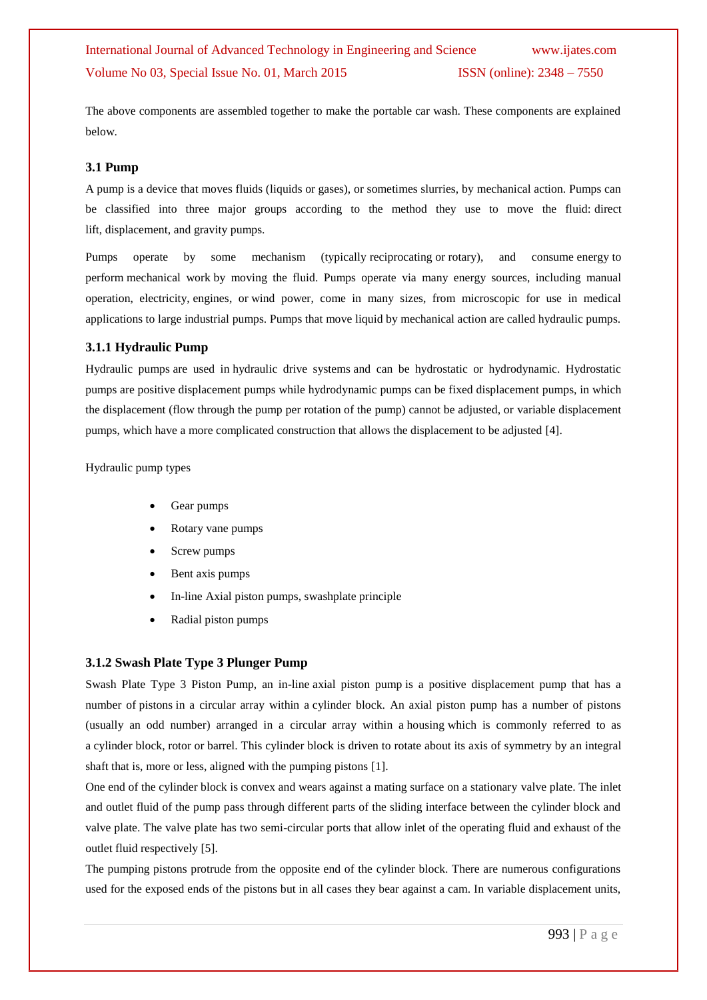The above components are assembled together to make the portable car wash. These components are explained below.

#### **3.1 Pump**

A pump is a device that moves fluids [\(liquids](http://en.wikipedia.org/wiki/Liquid) or [gases\)](http://en.wikipedia.org/wiki/Gas), or sometimes [slurries,](http://en.wikipedia.org/wiki/Slurry) by mechanical action. Pumps can be classified into three major groups according to the method they use to move the fluid: direct lift, displacement, and gravity pumps.

Pumps operate by some mechanism (typically [reciprocating](http://en.wikipedia.org/wiki/Reciprocating_motion) or [rotary\)](http://en.wikipedia.org/wiki/Rotation), and consume [energy](http://en.wikipedia.org/wiki/Energy) to perform [mechanical work](http://en.wikipedia.org/wiki/Mechanical_work) by moving the fluid. Pumps operate via many energy sources, including manual operation, electricity, [engines,](http://en.wikipedia.org/wiki/Engines) or [wind power,](http://en.wikipedia.org/wiki/Wind_power) come in many sizes, from microscopic for use in medical applications to large industrial pumps. Pumps that move liquid by mechanical action are called hydraulic pumps.

#### **3.1.1 Hydraulic Pump**

Hydraulic pumps are used in [hydraulic drive systems](http://en.wikipedia.org/wiki/Hydraulic_drive_system) and can be hydrostatic or hydrodynamic. Hydrostatic pumps are [positive displacement pumps](http://en.wikipedia.org/wiki/Positive_displacement_pump) while hydrodynamic pumps can be fixed displacement pumps, in which the displacement (flow through the pump per rotation of the pump) cannot be adjusted, or [variable displacement](http://en.wikipedia.org/wiki/Variable_displacement_pump)  [pumps,](http://en.wikipedia.org/wiki/Variable_displacement_pump) which have a more complicated construction that allows the displacement to be adjusted [4].

[Hydraulic pump types](file:///F:\rahulm\Hydraulic%20pump%20-%20Wikipedia,%20the%20free%20encyclopedia.htm%23Hydraulic_pump_types)

- [Gear pumps](file:///F:\rahulm\Hydraulic%20pump%20-%20Wikipedia,%20the%20free%20encyclopedia.htm%23Gear_pumps)
- [Rotary vane pumps](file:///F:\rahulm\Hydraulic%20pump%20-%20Wikipedia,%20the%20free%20encyclopedia.htm%23Rotary_vane_pumps)
- [Screw pumps](file:///F:\rahulm\Hydraulic%20pump%20-%20Wikipedia,%20the%20free%20encyclopedia.htm%23Screw_pumps)
- [Bent axis pumps](file:///F:\rahulm\Hydraulic%20pump%20-%20Wikipedia,%20the%20free%20encyclopedia.htm%23Bent_axis_pumps)
- [In-line Axial piston pumps, swashplate principle](file:///F:\rahulm\Hydraulic%20pump%20-%20Wikipedia,%20the%20free%20encyclopedia.htm%23In-line_Axial_piston_pumps.2C_swashplate_principle)
- [Radial piston pumps](file:///F:\rahulm\Hydraulic%20pump%20-%20Wikipedia,%20the%20free%20encyclopedia.htm%23Radial_piston_pumps)

#### **3.1.2 Swash Plate Type 3 Plunger Pump**

Swash Plate Type 3 Piston Pump, an in-line axial piston pump is a positive displacement pump that has a number of [pistons](http://en.wikipedia.org/wiki/Piston) in a circular array within a [cylinder block.](http://en.wikipedia.org/wiki/Cylinder_block) An axial piston pump has a number of pistons (usually an odd number) arranged in a circular array within a housing which is commonly referred to as a cylinder block, [rotor](http://en.wikipedia.org/wiki/Rotor_%28turbine%29) or barrel. This cylinder block is driven to rotate about its axis of symmetry by an integral shaft that is, more or less, aligned with the pumping pistons [1].

One end of the cylinder block is convex and wears against a mating surface on a stationary [valve](http://en.wikipedia.org/wiki/Valve) plate. The inlet and outlet fluid of the pump pass through different parts of the sliding interface between the cylinder block and valve plate. The valve plate has two semi-circular ports that allow inlet of the operating fluid and exhaust of the outlet fluid respectively [5].

The pumping pistons protrude from the opposite end of the cylinder block. There are numerous configurations used for the exposed ends of the pistons but in all cases they bear against a cam. In variable displacement units,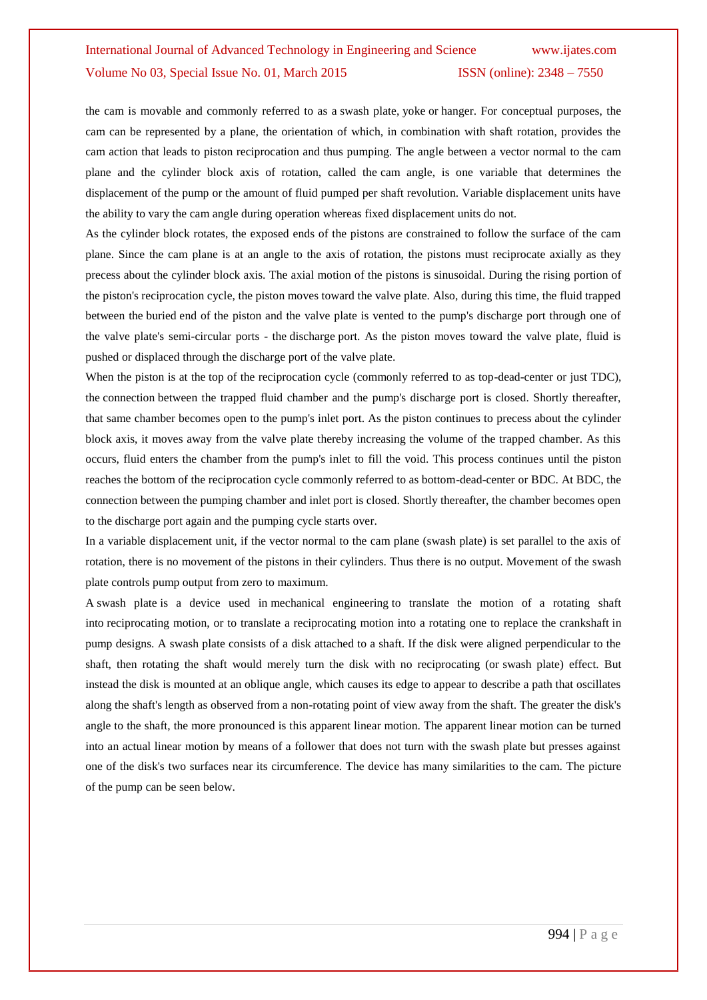the cam is movable and commonly referred to as a swash plate, yoke or hanger. For conceptual purposes, the cam can be represented by a plane, the orientation of which, in combination with shaft rotation, provides the cam action that leads to piston reciprocation and thus pumping. The angle between a vector normal to the cam plane and the cylinder block axis of rotation, called the cam angle, is one variable that determines the displacement of the pump or the amount of fluid pumped per shaft revolution. Variable displacement units have the ability to vary the cam angle during operation whereas fixed displacement units do not.

As the cylinder block rotates, the exposed ends of the pistons are constrained to follow the surface of the cam plane. Since the cam plane is at an angle to the axis of rotation, the pistons must reciprocate axially as they precess about the cylinder block axis. The axial motion of the pistons is [sinusoidal.](http://en.wikipedia.org/wiki/Simple_harmonic_motion) During the rising portion of the piston's reciprocation cycle, the piston moves toward the valve plate. Also, during this time, the fluid trapped between the buried end of the piston and the valve plate is vented to the pump's discharge port through one of the valve plate's semi-circular ports - the discharge port. As the piston moves toward the valve plate, fluid is pushed or displaced through the discharge port of the valve plate.

When the piston is at the top of the reciprocation cycle (commonly referred to as top-dead-center or just TDC), the connection between the trapped fluid chamber and the pump's discharge port is closed. Shortly thereafter, that same chamber becomes open to the pump's inlet port. As the piston continues to [precess](http://en.wikipedia.org/wiki/Precession) about the cylinder block axis, it moves away from the valve plate thereby increasing the volume of the trapped chamber. As this occurs, fluid enters the chamber from the pump's inlet to fill the void. This process continues until the piston reaches the bottom of the reciprocation cycle commonly referred to as bottom-dead-center or BDC. At BDC, the connection between the pumping chamber and inlet port is closed. Shortly thereafter, the chamber becomes open to the discharge port again and the pumping cycle starts over.

In a variable displacement unit, if the vector normal to the cam plane (swash plate) is set parallel to the axis of rotation, there is no movement of the pistons in their cylinders. Thus there is no output. Movement of the swash plate controls pump output from zero to maximum.

A swash plate is a device used in [mechanical engineering](http://en.wikipedia.org/wiki/Mechanical_engineering) to translate the motion of a rotating shaft into [reciprocating motion,](http://en.wikipedia.org/wiki/Reciprocating_motion) or to translate a reciprocating motion into a rotating one to replace the [crankshaft](http://en.wikipedia.org/wiki/Crankshaft) in pump designs. A swash plate consists of a disk attached to a shaft. If the disk were aligned perpendicular to the shaft, then rotating the shaft would merely turn the disk with no reciprocating (or swash plate) effect. But instead the disk is mounted at an oblique angle, which causes its edge to appear to describe a path that oscillates along the shaft's length as observed from a non-rotating point of view away from the shaft. The greater the disk's angle to the shaft, the more pronounced is this apparent linear motion. The apparent linear motion can be turned into an actual linear motion by means of a follower that does not turn with the swash plate but presses against one of the disk's two surfaces near its circumference. The device has many similarities to the [cam.](http://en.wikipedia.org/wiki/Cam) The picture of the pump can be seen below.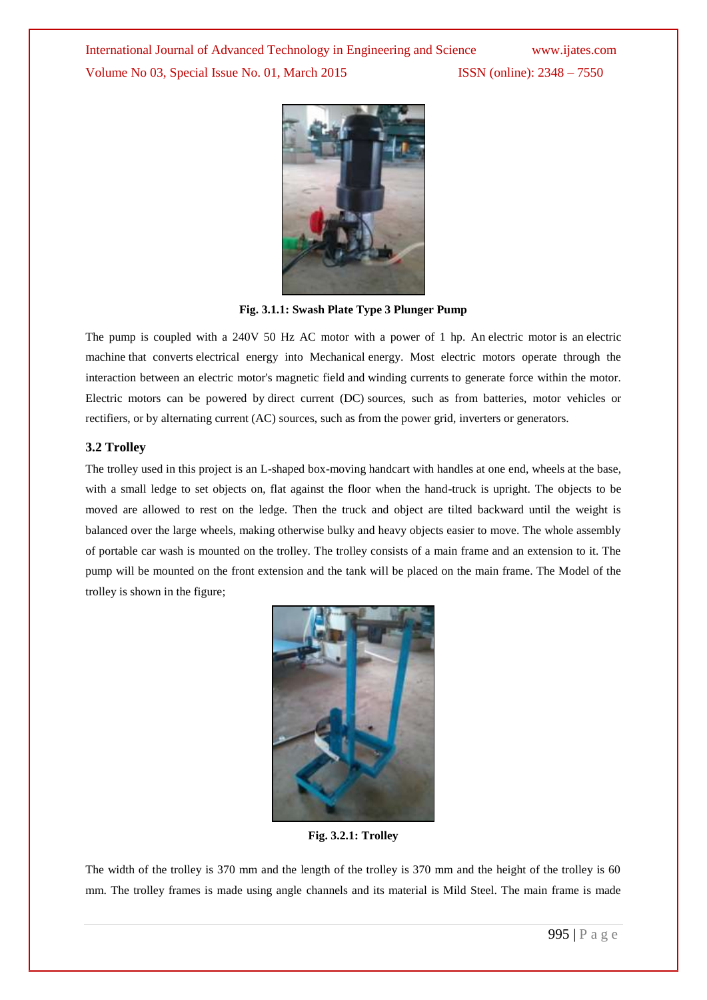

**Fig. 3.1.1: Swash Plate Type 3 Plunger Pump**

The pump is coupled with a 240V 50 Hz AC motor with a power of 1 hp. An electric motor is an [electric](http://en.wikipedia.org/wiki/Electric_machine)  [machine](http://en.wikipedia.org/wiki/Electric_machine) that converts [electrical energy into Mechanical](http://en.wikipedia.org/wiki/Electromechanical) energy. Most electric motors operate through the interaction between an electric motor's [magnetic field](http://en.wikipedia.org/wiki/Magnetic_field) and [winding currents](http://en.wikipedia.org/wiki/Electrical_conductor) to generate force within the motor. Electric motors can be powered by [direct current \(DC\)](http://en.wikipedia.org/wiki/Direct_current) sources, such as from batteries, motor vehicles or rectifiers, or by [alternating current \(AC\)](http://en.wikipedia.org/wiki/Alternating_current) sources, such as from the power grid, [inverters](http://en.wikipedia.org/wiki/Inverter_%28electrical%29) or generators.

#### **3.2 Trolley**

The trolley used in this project is an L-shaped box-moving [handcart](http://en.wikipedia.org/wiki/Cart) with handles at one end, [wheels](http://en.wikipedia.org/wiki/Wheel) at the base, with a small ledge to set objects on, flat against the floor when the hand-truck is upright. The objects to be moved are allowed to rest on the ledge. Then the truck and object are tilted backward until the weight is balanced over the large wheels, making otherwise bulky and heavy objects easier to move. The whole assembly of portable car wash is mounted on the trolley. The trolley consists of a main frame and an extension to it. The pump will be mounted on the front extension and the tank will be placed on the main frame. The Model of the trolley is shown in the figure;



**Fig. 3.2.1: Trolley**

The width of the trolley is 370 mm and the length of the trolley is 370 mm and the height of the trolley is 60 mm. The trolley frames is made using angle channels and its material is Mild Steel. The main frame is made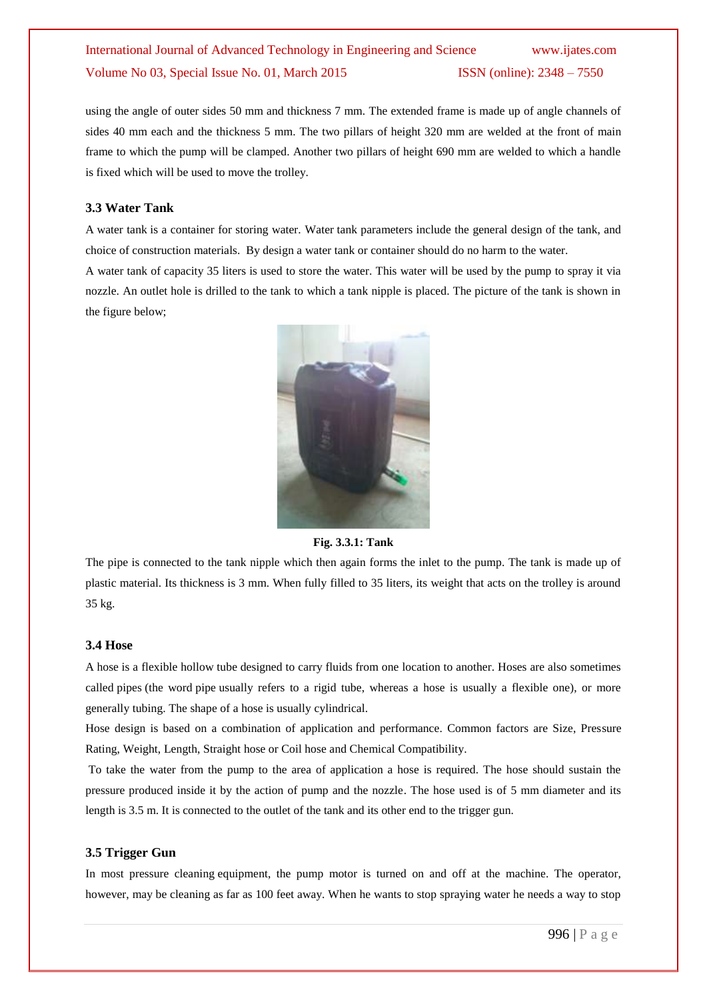using the angle of outer sides 50 mm and thickness 7 mm. The extended frame is made up of angle channels of sides 40 mm each and the thickness 5 mm. The two pillars of height 320 mm are welded at the front of main frame to which the pump will be clamped. Another two pillars of height 690 mm are welded to which a handle is fixed which will be used to move the trolley.

#### **3.3 Water Tank**

A water tank is a container for storing water. [Water](http://en.wikipedia.org/wiki/Water) tank parameters include the general design of the tank, and choice of construction materials. By design a water tank or container should do no harm to the water.

A water tank of capacity 35 liters is used to store the water. This water will be used by the pump to spray it via nozzle. An outlet hole is drilled to the tank to which a tank nipple is placed. The picture of the tank is shown in the figure below;



**Fig. 3.3.1: Tank**

The pipe is connected to the tank nipple which then again forms the inlet to the pump. The tank is made up of plastic material. Its thickness is 3 mm. When fully filled to 35 liters, its weight that acts on the trolley is around 35 kg.

#### **3.4 Hose**

A hose is a flexible hollow [tube](http://en.wikipedia.org/wiki/Tube_(fluid_conveyance)) designed to carry [fluids](http://en.wikipedia.org/wiki/Fluid) from one location to another. Hoses are also sometimes called [pipes](http://en.wikipedia.org/wiki/Pipe_(fluid_conveyance)) (the word pipe usually refers to a rigid tube, whereas a hose is usually a flexible one), or more generally [tubing.](http://en.wikipedia.org/wiki/Tubing_(material)) The shape of a hose is usually [cylindrical.](http://en.wikipedia.org/wiki/Cylinder_(geometry))

Hose design is based on a combination of application and performance. Common factors are Size, Pressure Rating, Weight, Length, Straight hose or Coil hose and Chemical Compatibility.

To take the water from the pump to the area of application a hose is required. The hose should sustain the pressure produced inside it by the action of pump and the nozzle. The hose used is of 5 mm diameter and its length is 3.5 m. It is connected to the outlet of the tank and its other end to the trigger gun.

#### **3.5 Trigger Gun**

In most pressure cleaning [equipment,](http://www.higherpowersupplies.com/1PW-WP-HWGD.html) the pump motor is turned on and off at the machine. The operator, however, may be cleaning as far as 100 feet away. When he wants to stop spraying water he needs a way to stop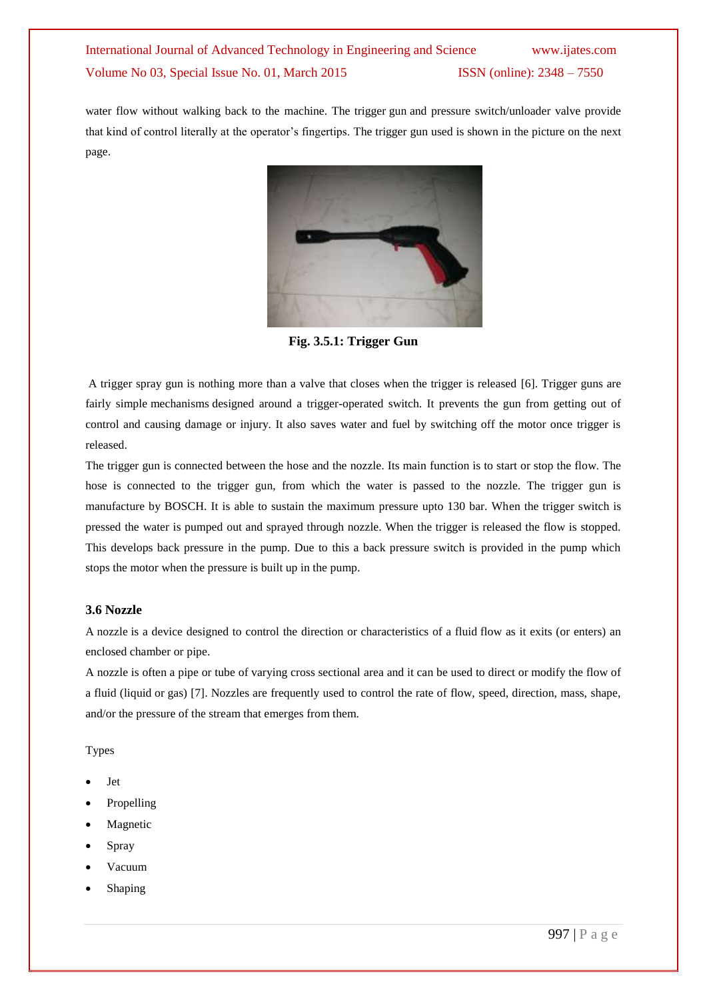water flow without walking back to the [machine.](http://www.higherpowersupplies.com/1PW-WP-CWE-BD.html) The trigger [gun](http://www.higherpowersupplies.com/PW-WA-PWA-GU.html) and pressure switch/unloader valve provide that kind of control literally at the operator's fingertips. The trigger gun used is shown in the picture on the next page.



**Fig. 3.5.1: Trigger Gun**

A trigger spray gun is nothing more than a valve that closes when the trigger is released [6]. Trigger guns are fairly simple [mechanisms](http://www.higherpowersupplies.com/VM-352222-5.html) designed around a trigger-operated switch. It prevents the gun from getting out of control and causing damage or injury. It also saves water and fuel by switching off the motor once trigger is released.

The trigger gun is connected between the hose and the nozzle. Its main function is to start or stop the flow. The hose is connected to the trigger gun, from which the water is passed to the nozzle. The trigger gun is manufacture by BOSCH. It is able to sustain the maximum pressure upto 130 bar. When the trigger switch is pressed the water is pumped out and sprayed through nozzle. When the trigger is released the flow is stopped. This develops back pressure in the pump. Due to this a back pressure switch is provided in the pump which stops the motor when the pressure is built up in the pump.

#### **3.6 Nozzle**

A nozzle is a device designed to control the direction or characteristics of a [fluid](http://en.wikipedia.org/wiki/Fluid) flow as it exits (or enters) an enclosed chamber or [pipe.](http://en.wikipedia.org/wiki/Pipe_(material))

A nozzle is often a pipe or tube of varying cross sectional area and it can be used to direct or modify the flow of a fluid [\(liquid](http://en.wikipedia.org/wiki/Liquid) or [gas\)](http://en.wikipedia.org/wiki/Gas) [7]. Nozzles are frequently used to control the rate of flow, speed, direction, mass, shape, and/or the pressure of the stream that emerges from them.

Types

- Jet
- [Propelling](http://en.wikipedia.org/wiki/Nozzle#Propelling)
- [Magnetic](http://en.wikipedia.org/wiki/Nozzle#Magnetic)
- [Spray](http://en.wikipedia.org/wiki/Nozzle#Spray)
- [Vacuum](http://en.wikipedia.org/wiki/Nozzle#Vacuum)
- Shaping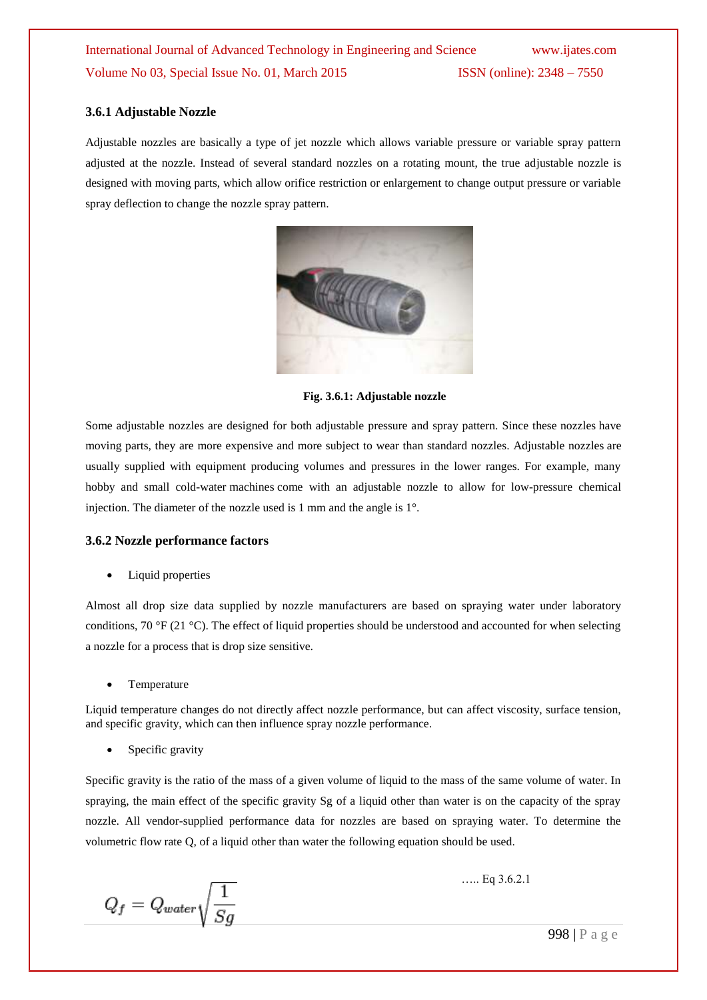#### **3.6.1 Adjustable Nozzle**

Adjustable nozzles are basically a type of jet nozzle which allows variable pressure or variable spray pattern adjusted at the nozzle. Instead of several standard nozzles on a rotating mount, the true adjustable nozzle is designed with moving parts, which allow orifice restriction or enlargement to change output pressure or variable spray deflection to change the nozzle spray pattern.



**Fig. 3.6.1: Adjustable nozzle**

Some adjustable nozzles are designed for both adjustable pressure and spray pattern. Since these [nozzles](http://www.higherpowersupplies.com/PW-WA-PWA-NZ-S.html) have moving parts, they are more expensive and more subject to wear than standard nozzles. Adjustable [nozzles](http://www.higherpowersupplies.com/PW-WA-PWA-NZ-S.html) are usually supplied with equipment producing volumes and pressures in the lower ranges. For example, many hobby and small cold-water [machines](http://www.higherpowersupplies.com/1PW-WP.html) come with an adjustable nozzle to allow for low-pressure chemical injection. The diameter of the nozzle used is 1 mm and the angle is 1°.

#### **3.6.2 Nozzle performance factors**

• Liquid properties

Almost all drop size data supplied by nozzle manufacturers are based on spraying water under laboratory conditions, 70 °F (21 °C). The effect of liquid properties should be understood and accounted for when selecting a nozzle for a process that is drop size sensitive.

Temperature

Liquid temperature changes do not directly affect nozzle performance, but can affect viscosity, surface tension, and specific gravity, which can then influence spray nozzle performance.

Specific gravity

[Specific gravity](http://en.wikipedia.org/wiki/Specific_gravity) is the ratio of the mass of a given volume of liquid to the mass of the same volume of water. In spraying, the main effect of the specific gravity Sg of a liquid other than water is on the capacity of the spray nozzle. All vendor-supplied performance data for nozzles are based on spraying water. To determine the volumetric flow rate Q, of a liquid other than water the following equation should be used.

 $Q_f = Q_{water} \sqrt{\frac{1}{Sg}}$ 

….. Eq 3.6.2.1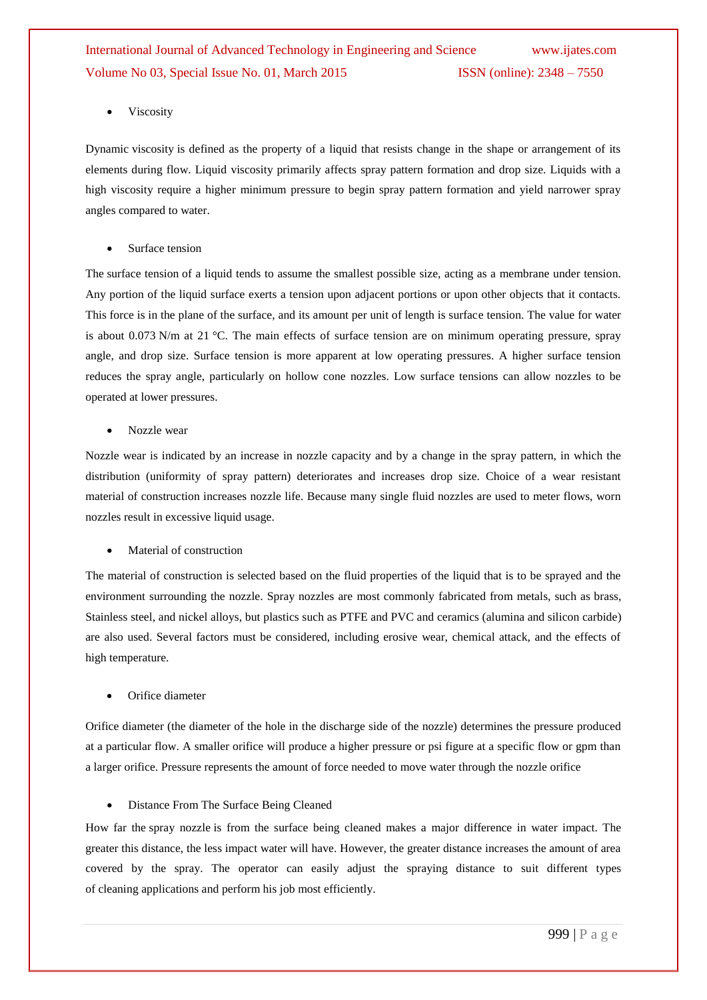Viscosity

Dynamic [viscosity](http://en.wikipedia.org/wiki/Viscosity) is defined as the property of a liquid that resists change in the shape or arrangement of its elements during flow. Liquid viscosity primarily affects spray pattern formation and drop size. Liquids with a high viscosity require a higher minimum pressure to begin spray pattern formation and yield narrower spray angles compared to water.

Surface tension

The [surface tension](http://en.wikipedia.org/wiki/Surface_tension) of a liquid tends to assume the smallest possible size, acting as a membrane under tension. Any portion of the liquid surface exerts a tension upon adjacent portions or upon other objects that it contacts. This force is in the plane of the surface, and its amount per unit of length is surface tension. The value for water is about 0.073 N/m at 21 °C. The main effects of surface tension are on minimum operating pressure, spray angle, and drop size. Surface tension is more apparent at low operating pressures. A higher surface tension reduces the spray angle, particularly on hollow cone nozzles. Low surface tensions can allow nozzles to be operated at lower pressures.

Nozzle wear

Nozzle wear is indicated by an increase in nozzle capacity and by a change in the spray pattern, in which the distribution (uniformity of spray pattern) deteriorates and increases drop size. Choice of a wear resistant material of construction increases nozzle life. Because many single fluid nozzles are used to meter flows, worn nozzles result in excessive liquid usage.

Material of construction

The material of construction is selected based on the fluid properties of the liquid that is to be sprayed and the environment surrounding the nozzle. Spray nozzles are most commonly fabricated from metals, such as [brass,](http://en.wikipedia.org/wiki/Brass) [Stainless steel,](http://en.wikipedia.org/wiki/Stainless_steel) and [nickel alloys,](http://en.wikipedia.org/wiki/Nickel_alloys) but plastics such as [PTFE](http://en.wikipedia.org/wiki/PTFE) and [PVC](http://en.wikipedia.org/wiki/PVC) and ceramics [\(alumina](http://en.wikipedia.org/wiki/Alumina) and [silicon carbide\)](http://en.wikipedia.org/wiki/Silicon_carbide) are also used. Several factors must be considered, including erosive wear, chemical attack, and the effects of high temperature.

Orifice diameter

Orifice diameter (the diameter of the hole in the discharge side of the [nozzle\)](http://www.higherpowersupplies.com/PW-WA-PWA-NZ-S.html) determines the pressure produced at a particular flow. A smaller orifice will produce a higher pressure or psi figure at a specific flow or gpm than a larger orifice. Pressure represents the amount of force needed to move water through the nozzle orifice

Distance From The Surface Being Cleaned

How far the spray [nozzle](http://www.higherpowersupplies.com/PW-WA-PWA-NZ-S.html) is from the surface being cleaned makes a major difference in water impact. The greater this distance, the less impact water will have. However, the greater distance increases the amount of area covered by the spray. The operator can easily adjust the spraying distance to suit different types of [cleaning](http://www.higherpowersupplies.com/PW-WA-PWA-LW-L.html) applications and perform his job most efficiently.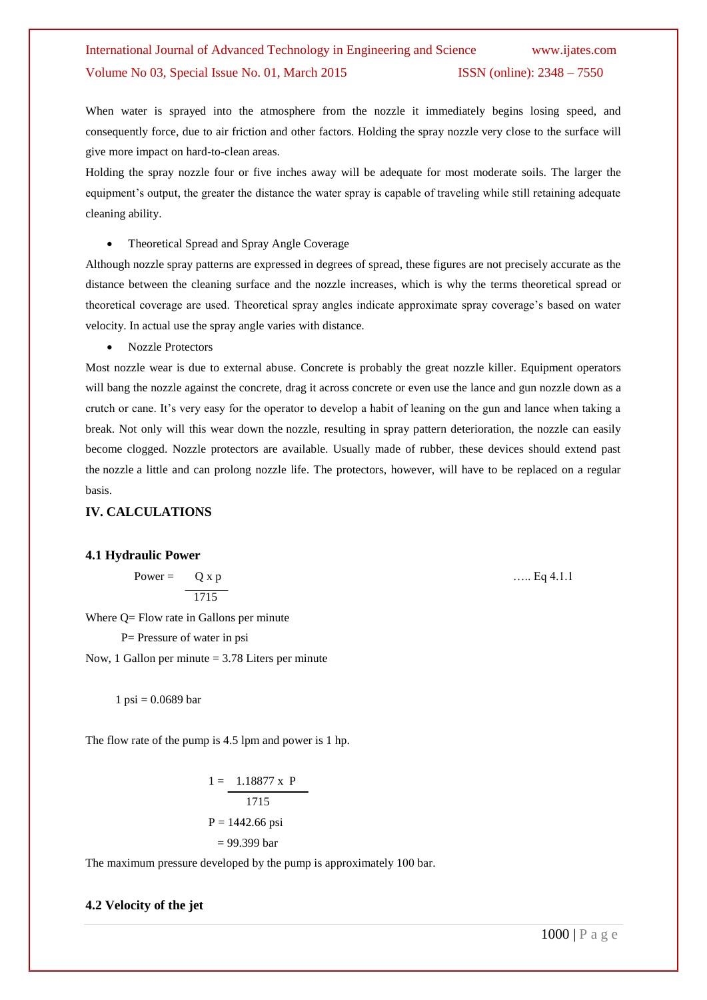When water is sprayed into the atmosphere from the nozzle it immediately begins losing speed, and consequently force, due to air friction and other factors. Holding the spray [nozzle](http://www.higherpowersupplies.com/PW-WA-PWA-NZ-S.html) very close to the surface will give more impact on hard-to-clean areas.

Holding the spray nozzle four or five inches away will be adequate for most moderate soils. The larger the equipment's output, the greater the distance the water spray is capable of traveling while still retaining adequate cleaning ability.

• Theoretical Spread and Spray Angle Coverage

Although [nozzle](http://www.higherpowersupplies.com/PW-WA-PWA-NZ-S.html) spray patterns are expressed in degrees of spread, these figures are not precisely accurate as the distance between the cleaning surface and the nozzle increases, which is why the terms theoretical spread or theoretical coverage are used. Theoretical spray angles indicate approximate spray coverage's based on water velocity. In actual use the spray angle varies with distance.

Nozzle Protectors

Most nozzle wear is due to external abuse. Concrete is probably the great nozzle killer. Equipment operators will bang the nozzle against the concrete, drag it across concrete or even use the [lance](http://www.higherpowersupplies.com/PW-WA-PWA-LW-L.html) and [gun](http://www.higherpowersupplies.com/PW-WA-PWA-GU.html) nozzle down as a crutch or cane. It's very easy for the operator to develop a habit of leaning on the gun and lance when taking a break. Not only will this wear down the [nozzle,](http://www.higherpowersupplies.com/PW-WA-PWA-NZ-S.html) resulting in spray pattern deterioration, the nozzle can easily become clogged. Nozzle protectors are available. Usually made of rubber, these devices should extend past the [nozzle](http://www.higherpowersupplies.com/PW-WA-PWA-NZ-S.html) a little and can prolong nozzle life. The protectors, however, will have to be replaced on a regular basis.

#### **IV. CALCULATIONS**

#### **4.1 Hydraulic Power**

Power = 
$$
Q \times p
$$
 ..... Eq 4.1.1

Where Q = Flow rate in Gallons per minute

P= Pressure of water in psi

Now, 1 Gallon per minute  $= 3.78$  Liters per minute

1 psi =  $0.0689$  bar

The flow rate of the pump is 4.5 lpm and power is 1 hp.

$$
1 = \frac{1.18877 \times P}{1715}
$$
  
P = 1442.66 psi  
= 99.399 bar

The maximum pressure developed by the pump is approximately 100 bar.

#### **4.2 Velocity of the jet**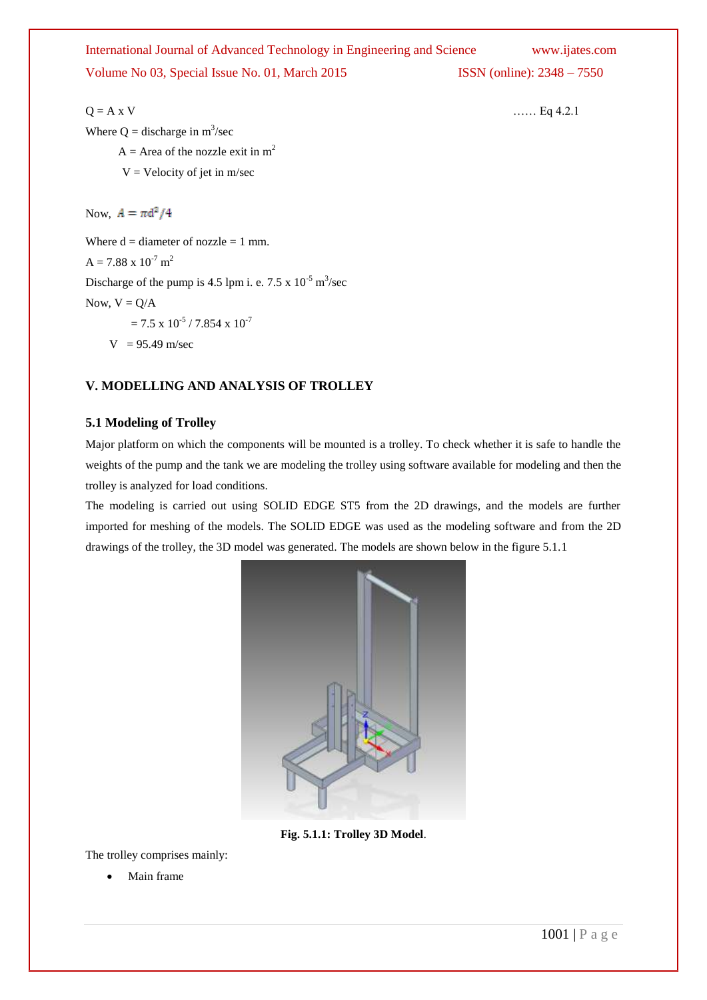Where  $Q =$  discharge in  $m^3$ /sec  $A = Area$  of the nozzle exit in m<sup>2</sup>  $V =$  Velocity of jet in m/sec Now,  $A = \pi d^2/4$ 

Where  $d =$  diameter of nozzle = 1 mm.  $A = 7.88 \times 10^{-7}$  m<sup>2</sup> Discharge of the pump is 4.5 lpm i. e. 7.5 x  $10^{-5}$  m<sup>3</sup>/sec Now,  $V = Q/A$ 

$$
= 7.5 \times 10^{-5} / 7.854 \times 10^{-7}
$$

 $V = 95.49$  m/sec

### **V. MODELLING AND ANALYSIS OF TROLLEY**

#### **5.1 Modeling of Trolley**

Major platform on which the components will be mounted is a trolley. To check whether it is safe to handle the weights of the pump and the tank we are modeling the trolley using software available for modeling and then the trolley is analyzed for load conditions.

The modeling is carried out using SOLID EDGE ST5 from the 2D drawings, and the models are further imported for meshing of the models. The SOLID EDGE was used as the modeling software and from the 2D drawings of the trolley, the 3D model was generated. The models are shown below in the figure 5.1.1



**Fig. 5.1.1: Trolley 3D Model**.

The trolley comprises mainly:

Main frame

 $Q = A x V$  …… Eq 4.2.1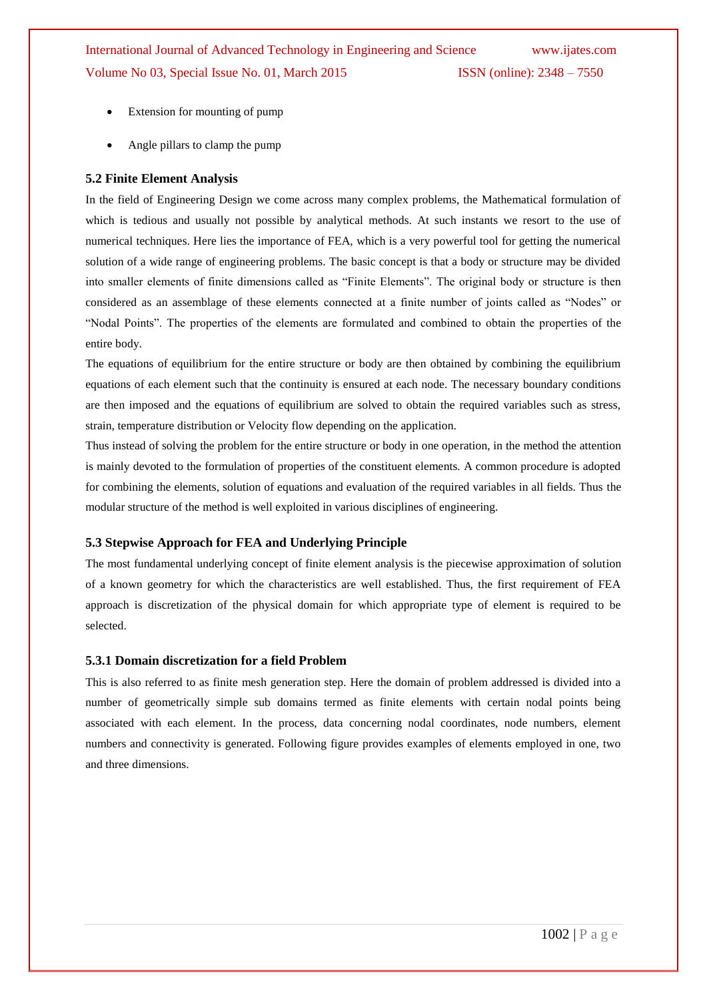- Extension for mounting of pump
- Angle pillars to clamp the pump

#### **5.2 Finite Element Analysis**

In the field of Engineering Design we come across many complex problems, the Mathematical formulation of which is tedious and usually not possible by analytical methods. At such instants we resort to the use of numerical techniques. Here lies the importance of FEA, which is a very powerful tool for getting the numerical solution of a wide range of engineering problems. The basic concept is that a body or structure may be divided into smaller elements of finite dimensions called as "Finite Elements". The original body or structure is then considered as an assemblage of these elements connected at a finite number of joints called as "Nodes" or ―Nodal Points‖. The properties of the elements are formulated and combined to obtain the properties of the entire body.

The equations of equilibrium for the entire structure or body are then obtained by combining the equilibrium equations of each element such that the continuity is ensured at each node. The necessary boundary conditions are then imposed and the equations of equilibrium are solved to obtain the required variables such as stress, strain, temperature distribution or Velocity flow depending on the application.

Thus instead of solving the problem for the entire structure or body in one operation, in the method the attention is mainly devoted to the formulation of properties of the constituent elements. A common procedure is adopted for combining the elements, solution of equations and evaluation of the required variables in all fields. Thus the modular structure of the method is well exploited in various disciplines of engineering.

#### **5.3 Stepwise Approach for FEA and Underlying Principle**

The most fundamental underlying concept of finite element analysis is the piecewise approximation of solution of a known geometry for which the characteristics are well established. Thus, the first requirement of FEA approach is discretization of the physical domain for which appropriate type of element is required to be selected.

#### **5.3.1 Domain discretization for a field Problem**

This is also referred to as finite mesh generation step. Here the domain of problem addressed is divided into a number of geometrically simple sub domains termed as finite elements with certain nodal points being associated with each element. In the process, data concerning nodal coordinates, node numbers, element numbers and connectivity is generated. Following figure provides examples of elements employed in one, two and three dimensions.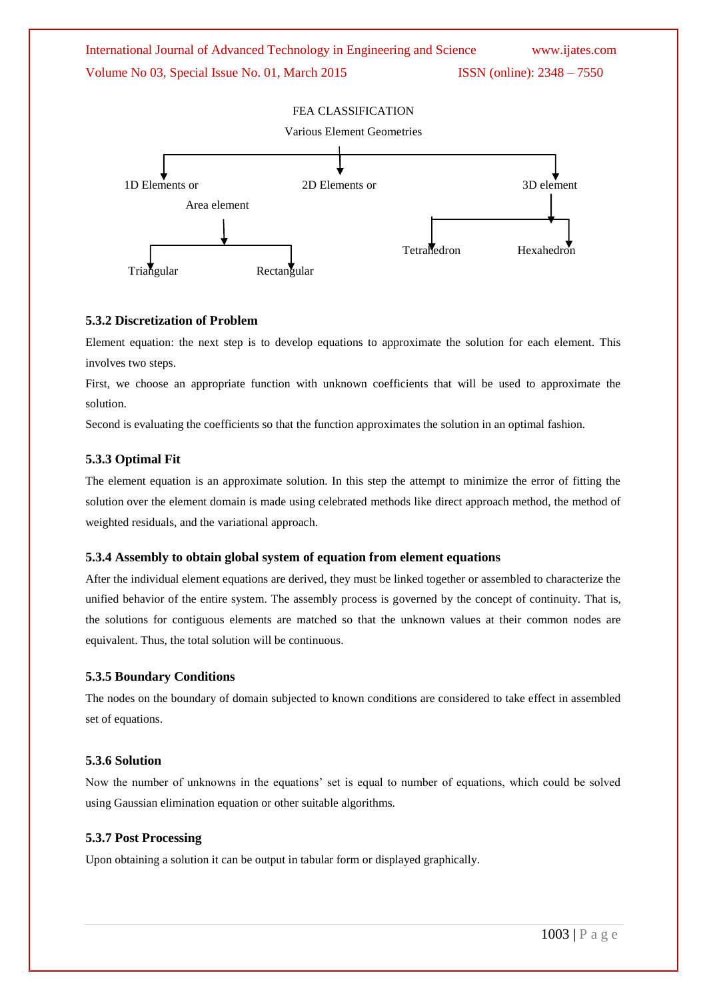

#### **5.3.2 Discretization of Problem**

Element equation: the next step is to develop equations to approximate the solution for each element. This involves two steps.

First, we choose an appropriate function with unknown coefficients that will be used to approximate the solution.

Second is evaluating the coefficients so that the function approximates the solution in an optimal fashion.

#### **5.3.3 Optimal Fit**

The element equation is an approximate solution. In this step the attempt to minimize the error of fitting the solution over the element domain is made using celebrated methods like direct approach method, the method of weighted residuals, and the variational approach.

#### **5.3.4 Assembly to obtain global system of equation from element equations**

After the individual element equations are derived, they must be linked together or assembled to characterize the unified behavior of the entire system. The assembly process is governed by the concept of continuity. That is, the solutions for contiguous elements are matched so that the unknown values at their common nodes are equivalent. Thus, the total solution will be continuous.

#### **5.3.5 Boundary Conditions**

The nodes on the boundary of domain subjected to known conditions are considered to take effect in assembled set of equations.

#### **5.3.6 Solution**

Now the number of unknowns in the equations' set is equal to number of equations, which could be solved using Gaussian elimination equation or other suitable algorithms.

#### **5.3.7 Post Processing**

Upon obtaining a solution it can be output in tabular form or displayed graphically.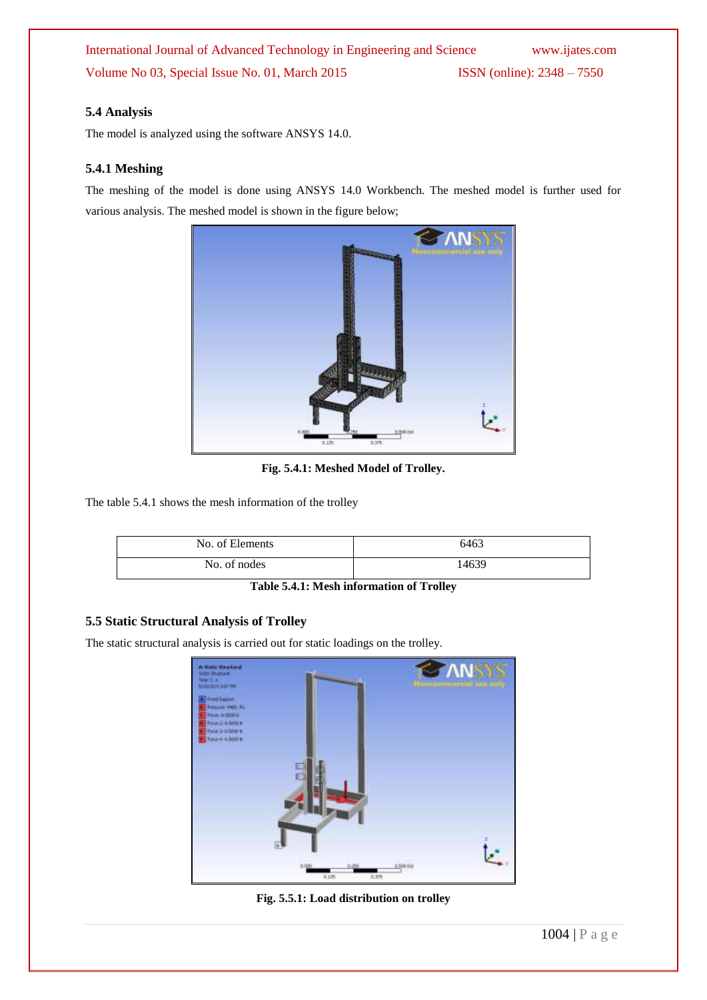#### **5.4 Analysis**

The model is analyzed using the software ANSYS 14.0.

#### **5.4.1 Meshing**

The meshing of the model is done using ANSYS 14.0 Workbench. The meshed model is further used for various analysis. The meshed model is shown in the figure below;



**Fig. 5.4.1: Meshed Model of Trolley.**

The table 5.4.1 shows the mesh information of the trolley

| No. of Elements | 6463 |
|-----------------|------|
| No. of nodes    | 4639 |

**Table 5.4.1: Mesh information of Trolley**

#### **5.5 Static Structural Analysis of Trolley**

The static structural analysis is carried out for static loadings on the trolley.



**Fig. 5.5.1: Load distribution on trolley**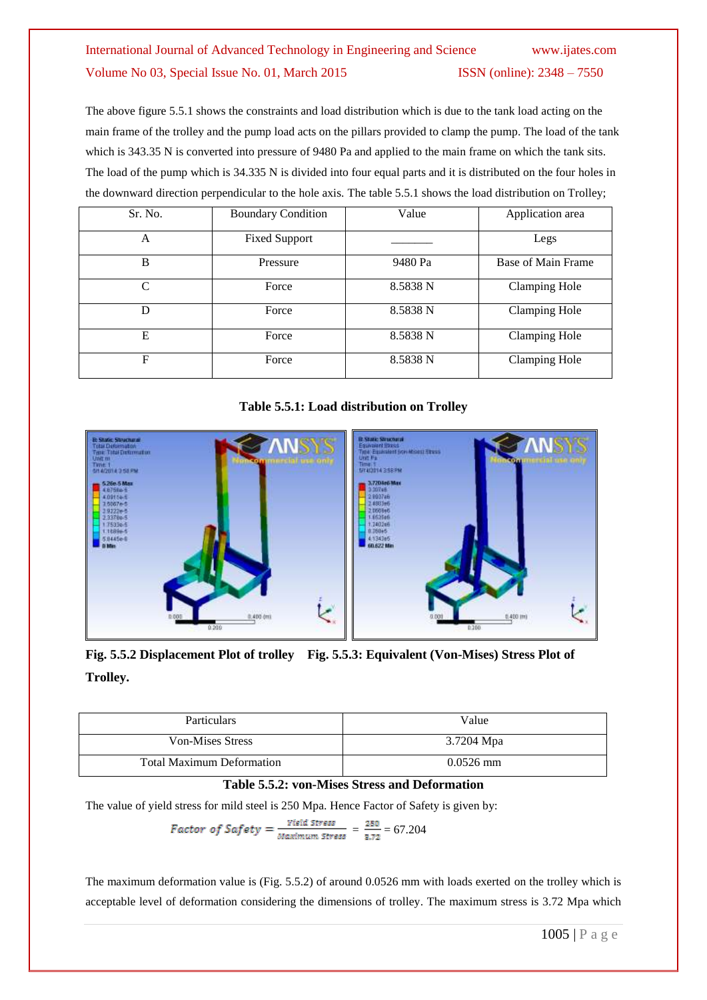The above figure 5.5.1 shows the constraints and load distribution which is due to the tank load acting on the main frame of the trolley and the pump load acts on the pillars provided to clamp the pump. The load of the tank which is 343.35 N is converted into pressure of 9480 Pa and applied to the main frame on which the tank sits. The load of the pump which is 34.335 N is divided into four equal parts and it is distributed on the four holes in the downward direction perpendicular to the hole axis. The table 5.5.1 shows the load distribution on Trolley;

| Sr. No.                     | <b>Boundary Condition</b> | Value    | Application area     |
|-----------------------------|---------------------------|----------|----------------------|
| A                           | <b>Fixed Support</b>      |          | Legs                 |
| B                           | Pressure                  | 9480 Pa  | Base of Main Frame   |
| $\mathcal{C}_{\mathcal{C}}$ | Force                     | 8.5838 N | <b>Clamping Hole</b> |
| D                           | Force                     | 8.5838 N | Clamping Hole        |
| E                           | Force                     | 8.5838 N | Clamping Hole        |
| F                           | Force                     | 8.5838 N | Clamping Hole        |

**Table 5.5.1: Load distribution on Trolley**



**Fig. 5.5.2 Displacement Plot of trolley Fig. 5.5.3: Equivalent (Von-Mises) Stress Plot of Trolley.**

| <b>Particulars</b>               | Value       |
|----------------------------------|-------------|
| Von-Mises Stress                 | 3.7204 Mpa  |
| <b>Total Maximum Deformation</b> | $0.0526$ mm |

#### **Table 5.5.2: von-Mises Stress and Deformation**

The value of yield stress for mild steel is 250 Mpa. Hence Factor of Safety is given by:

Factor of Safety = 
$$
\frac{Yield \text{ stress}}{Maximum \text{ stress}}
$$
 =  $\frac{250}{3.72}$  = 67.204

The maximum deformation value is (Fig. 5.5.2) of around 0.0526 mm with loads exerted on the trolley which is acceptable level of deformation considering the dimensions of trolley. The maximum stress is 3.72 Mpa which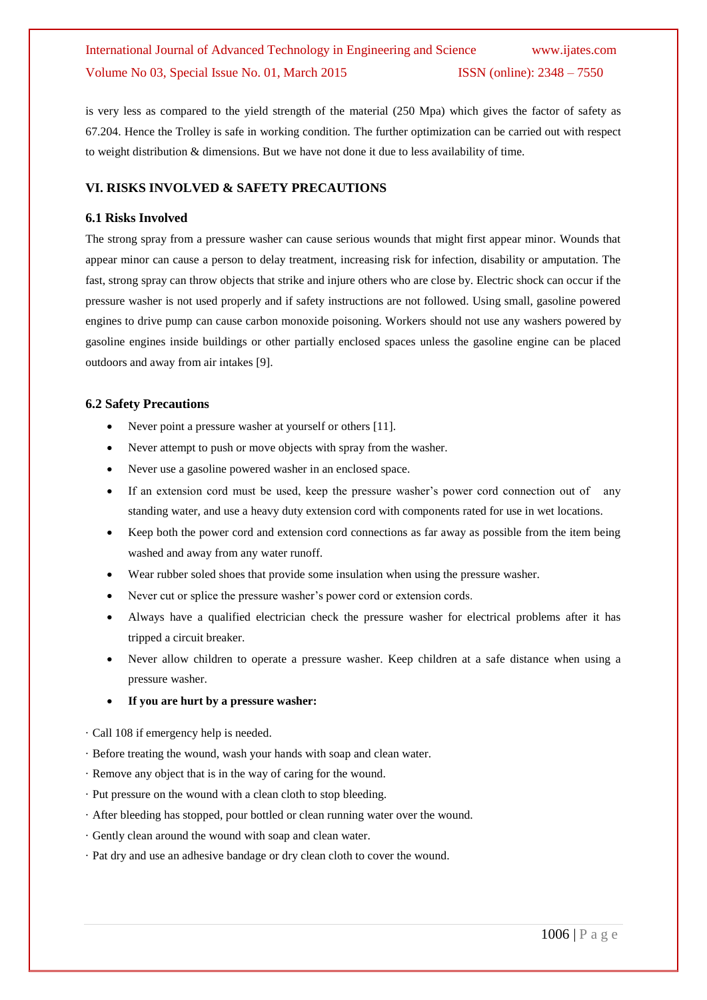is very less as compared to the yield strength of the material (250 Mpa) which gives the factor of safety as 67.204. Hence the Trolley is safe in working condition. The further optimization can be carried out with respect to weight distribution & dimensions. But we have not done it due to less availability of time.

#### **VI. RISKS INVOLVED & SAFETY PRECAUTIONS**

#### **6.1 Risks Involved**

The strong spray from a pressure washer can cause serious wounds that might first appear minor. Wounds that appear minor can cause a person to delay treatment, increasing risk for infection, disability or amputation. The fast, strong spray can throw objects that strike and injure others who are close by. Electric shock can occur if the pressure washer is not used properly and if safety instructions are not followed. Using small, gasoline powered engines to drive pump can cause carbon monoxide poisoning. Workers should not use any washers powered by gasoline engines inside buildings or other partially enclosed spaces unless the gasoline engine can be placed outdoors and away from air intakes [9].

#### **6.2 Safety Precautions**

- Never point a pressure washer at yourself or others [11].
- Never attempt to push or move objects with spray from the washer.
- Never use a gasoline powered washer in an enclosed space.
- If an extension cord must be used, keep the pressure washer's power cord connection out of any standing water, and use a heavy duty extension cord with components rated for use in wet locations.
- Keep both the power cord and extension cord connections as far away as possible from the item being washed and away from any water runoff.
- Wear rubber soled shoes that provide some insulation when using the pressure washer.
- Never cut or splice the pressure washer's power cord or extension cords.
- Always have a qualified electrician check the pressure washer for electrical problems after it has tripped a circuit breaker.
- Never allow children to operate a pressure washer. Keep children at a safe distance when using a pressure washer.
- **If you are hurt by a pressure washer:**
- · Call 108 if emergency help is needed.
- · Before treating the wound, wash your hands with soap and clean water.
- · Remove any object that is in the way of caring for the wound.
- · Put pressure on the wound with a clean cloth to stop bleeding.
- · After bleeding has stopped, pour bottled or clean running water over the wound.
- · Gently clean around the wound with soap and clean water.
- · Pat dry and use an adhesive bandage or dry clean cloth to cover the wound.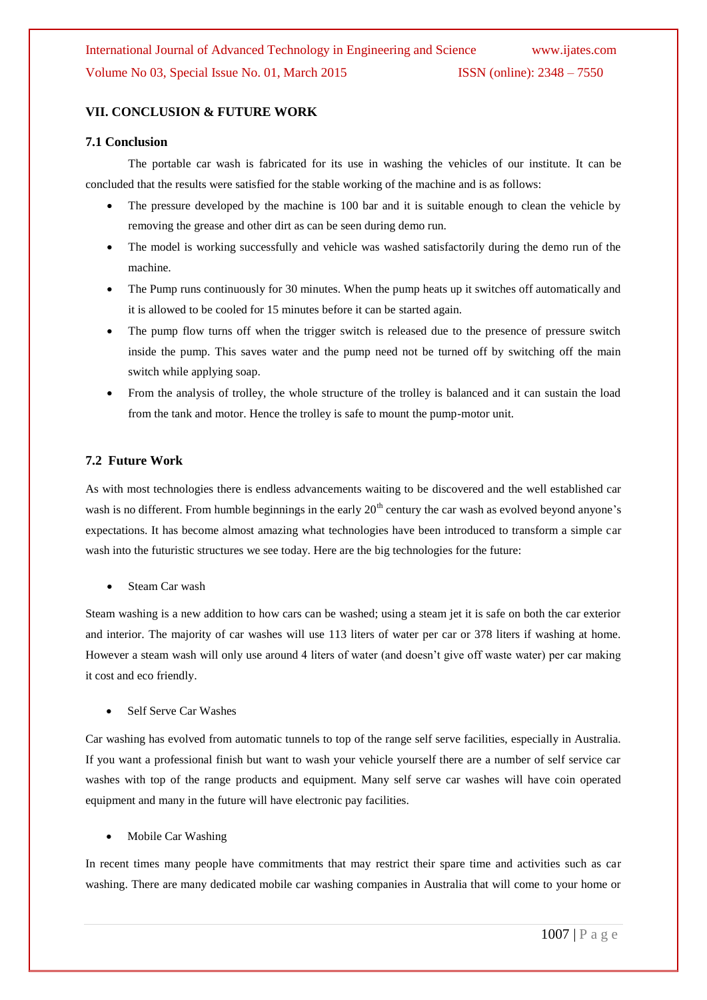#### **VII. CONCLUSION & FUTURE WORK**

#### **7.1 Conclusion**

The portable car wash is fabricated for its use in washing the vehicles of our institute. It can be concluded that the results were satisfied for the stable working of the machine and is as follows:

- The pressure developed by the machine is 100 bar and it is suitable enough to clean the vehicle by removing the grease and other dirt as can be seen during demo run.
- The model is working successfully and vehicle was washed satisfactorily during the demo run of the machine.
- The Pump runs continuously for 30 minutes. When the pump heats up it switches off automatically and it is allowed to be cooled for 15 minutes before it can be started again.
- The pump flow turns off when the trigger switch is released due to the presence of pressure switch inside the pump. This saves water and the pump need not be turned off by switching off the main switch while applying soap.
- From the analysis of trolley, the whole structure of the trolley is balanced and it can sustain the load from the tank and motor. Hence the trolley is safe to mount the pump-motor unit.

#### **7.2 Future Work**

As with most technologies there is endless advancements waiting to be discovered and the well established car wash is no different. From humble beginnings in the early  $20<sup>th</sup>$  century the car wash as evolved beyond anyone's expectations. It has become almost amazing what technologies have been introduced to transform a simple car wash into the futuristic structures we see today. Here are the big technologies for the future:

Steam Car wash

Steam washing is a new addition to how cars can be washed; using a steam jet it is safe on both the car exterior and interior. The majority of car washes will use 113 liters of water per car or 378 liters if washing at home. However a steam wash will only use around 4 liters of water (and doesn't give off waste water) per car making it cost and eco friendly.

Self Serve Car Washes

Car washing has evolved from automatic tunnels to top of the range self serve facilities, especially in Australia. If you want a professional finish but want to wash your vehicle yourself there are a number of self service car washes with top of the range products and equipment. Many self serve car washes will have coin operated equipment and many in the future will have electronic pay facilities.

Mobile Car Washing

In recent times many people have commitments that may restrict their spare time and activities such as car washing. There are many dedicated mobile car washing companies in Australia that will come to your home or